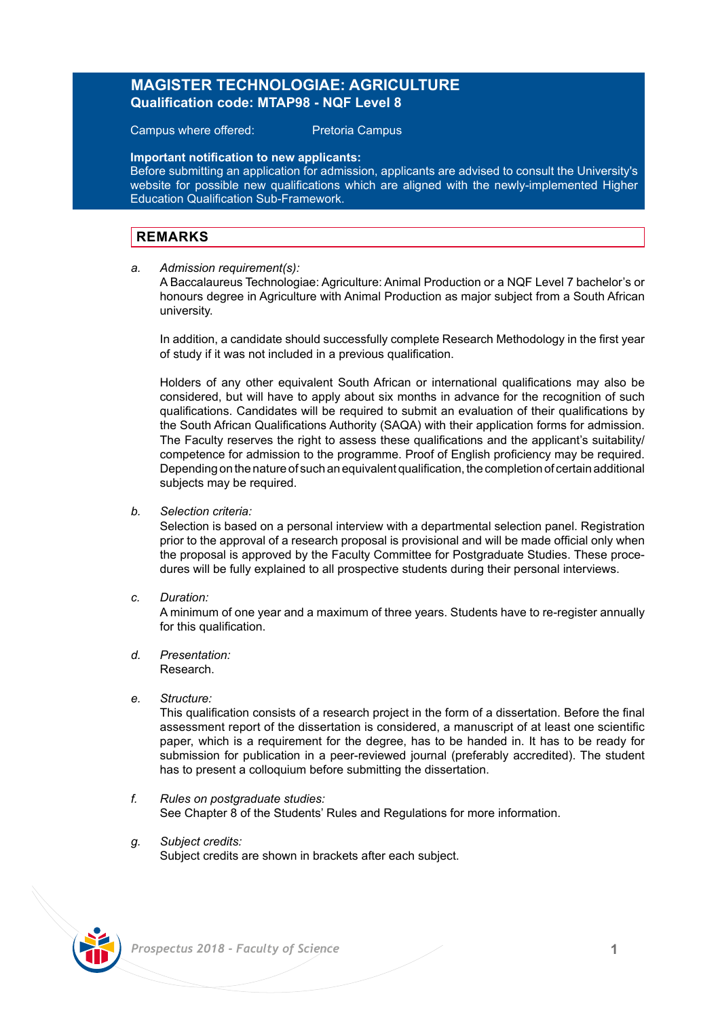## **MAGISTER TECHNOLOGIAE: AGRICULTURE Qualification code: MTAP98 - NQF Level 8**

Campus where offered: Pretoria Campus

**Important notification to new applicants:**

Before submitting an application for admission, applicants are advised to consult the University's website for possible new qualifications which are aligned with the newly-implemented Higher Education Qualification Sub-Framework.

## **REMARKS**

*a. Admission requirement(s):* 

A Baccalaureus Technologiae: Agriculture: Animal Production or a NQF Level 7 bachelor's or honours degree in Agriculture with Animal Production as major subject from a South African university.

In addition, a candidate should successfully complete Research Methodology in the first year of study if it was not included in a previous qualification.

Holders of any other equivalent South African or international qualifications may also be considered, but will have to apply about six months in advance for the recognition of such qualifications. Candidates will be required to submit an evaluation of their qualifications by the South African Qualifications Authority (SAQA) with their application forms for admission. The Faculty reserves the right to assess these qualifications and the applicant's suitability/ competence for admission to the programme. Proof of English proficiency may be required. Depending on the nature of such an equivalent qualification, the completion of certain additional subjects may be required.

*b. Selection criteria:*

Selection is based on a personal interview with a departmental selection panel. Registration prior to the approval of a research proposal is provisional and will be made official only when the proposal is approved by the Faculty Committee for Postgraduate Studies. These procedures will be fully explained to all prospective students during their personal interviews.

*c. Duration:*

A minimum of one year and a maximum of three years. Students have to re-register annually for this qualification.

- *d. Presentation:*  Research.
- *e. Structure:*

This qualification consists of a research project in the form of a dissertation. Before the final assessment report of the dissertation is considered, a manuscript of at least one scientific paper, which is a requirement for the degree, has to be handed in. It has to be ready for submission for publication in a peer-reviewed journal (preferably accredited). The student has to present a colloquium before submitting the dissertation.

- *f. Rules on postgraduate studies:* See Chapter 8 of the Students' Rules and Regulations for more information.
- *g. Subject credits:* Subject credits are shown in brackets after each subject.